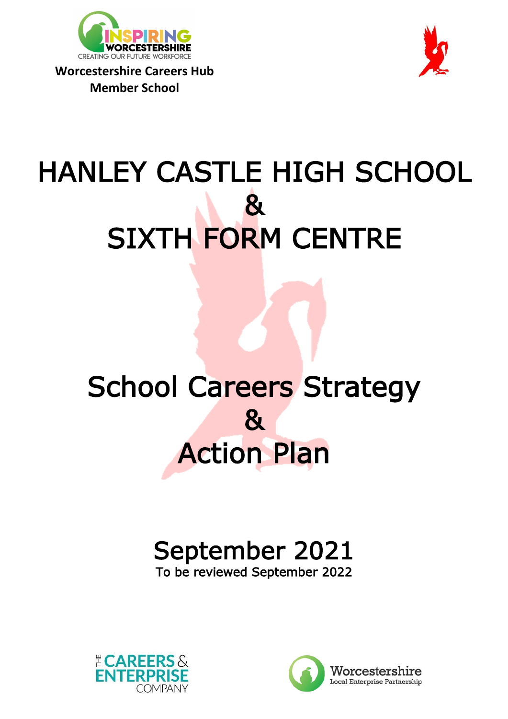

**Worcestershire Careers Hub Member School**



# HANLEY CASTLE HIGH SCHOOL & SIXTH FORM CENTRE

## í School Careers Strategy & Action Plan

 $\overline{1}$ 

# September 2021

To be reviewed September 2022



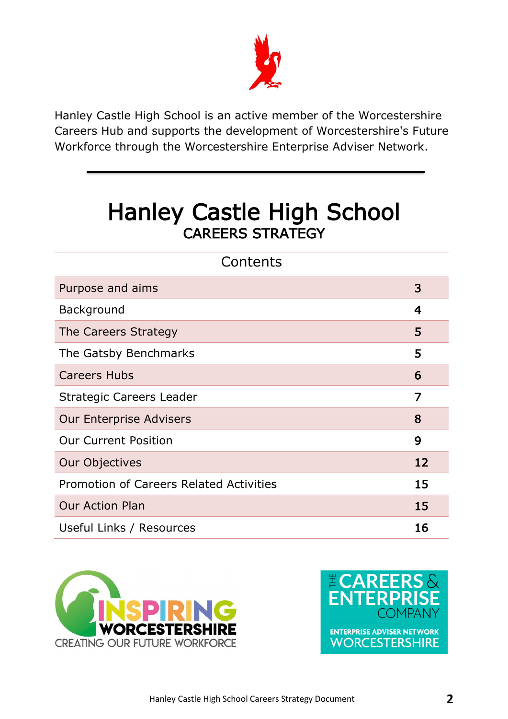

Hanley Castle High School is an active member of the Worcestershire Careers Hub and supports the development of Worcestershire's Future Workforce through the Worcestershire Enterprise Adviser Network.

## Hanley Castle High School CAREERS STRATEGY

 $\overline{a}$ 

| Contents                                       |    |  |
|------------------------------------------------|----|--|
| Purpose and aims                               | 3  |  |
| Background                                     | 4  |  |
| The Careers Strategy                           | 5  |  |
| The Gatsby Benchmarks                          | 5  |  |
| <b>Careers Hubs</b>                            | 6  |  |
| Strategic Careers Leader                       | 7  |  |
| <b>Our Enterprise Advisers</b>                 | 8  |  |
| <b>Our Current Position</b>                    | 9  |  |
| <b>Our Objectives</b>                          | 12 |  |
| <b>Promotion of Careers Related Activities</b> | 15 |  |
| <b>Our Action Plan</b>                         | 15 |  |
| Useful Links / Resources                       | 16 |  |



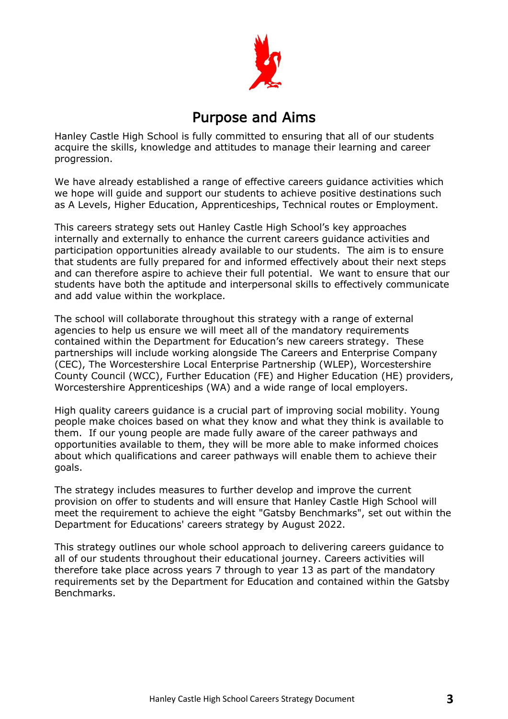

## Purpose and Aims

Hanley Castle High School is fully committed to ensuring that all of our students acquire the skills, knowledge and attitudes to manage their learning and career progression.

We have already established a range of effective careers guidance activities which we hope will guide and support our students to achieve positive destinations such as A Levels, Higher Education, Apprenticeships, Technical routes or Employment.

This careers strategy sets out Hanley Castle High School's key approaches internally and externally to enhance the current careers guidance activities and participation opportunities already available to our students. The aim is to ensure that students are fully prepared for and informed effectively about their next steps and can therefore aspire to achieve their full potential. We want to ensure that our students have both the aptitude and interpersonal skills to effectively communicate and add value within the workplace.

The school will collaborate throughout this strategy with a range of external agencies to help us ensure we will meet all of the mandatory requirements contained within the Department for Education's new careers strategy. These partnerships will include working alongside The Careers and Enterprise Company (CEC), The Worcestershire Local Enterprise Partnership (WLEP), Worcestershire County Council (WCC), Further Education (FE) and Higher Education (HE) providers, Worcestershire Apprenticeships (WA) and a wide range of local employers.

High quality careers guidance is a crucial part of improving social mobility. Young people make choices based on what they know and what they think is available to them. If our young people are made fully aware of the career pathways and opportunities available to them, they will be more able to make informed choices about which qualifications and career pathways will enable them to achieve their goals.

The strategy includes measures to further develop and improve the current provision on offer to students and will ensure that Hanley Castle High School will meet the requirement to achieve the eight "Gatsby Benchmarks", set out within the Department for Educations' careers strategy by August 2022.

This strategy outlines our whole school approach to delivering careers guidance to all of our students throughout their educational journey. Careers activities will therefore take place across years 7 through to year 13 as part of the mandatory requirements set by the Department for Education and contained within the Gatsby Benchmarks.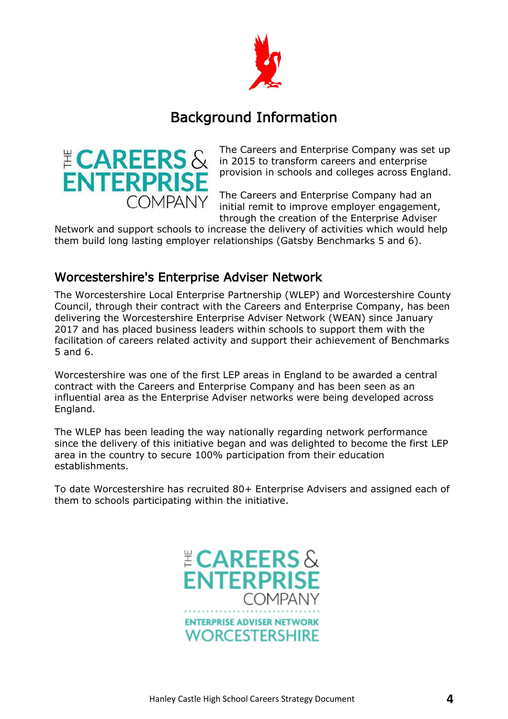

## Background Information



The Careers and Enterprise Company was set up in 2015 to transform careers and enterprise provision in schools and colleges across England.

The Careers and Enterprise Company had an initial remit to improve employer engagement, through the creation of the Enterprise Adviser

Network and support schools to increase the delivery of activities which would help them build long lasting employer relationships (Gatsby Benchmarks 5 and 6).

## Worcestershire's Enterprise Adviser Network

The Worcestershire Local Enterprise Partnership (WLEP) and Worcestershire County Council, through their contract with the Careers and Enterprise Company, has been delivering the Worcestershire Enterprise Adviser Network (WEAN) since January 2017 and has placed business leaders within schools to support them with the facilitation of careers related activity and support their achievement of Benchmarks 5 and 6.

Worcestershire was one of the first LEP areas in England to be awarded a central contract with the Careers and Enterprise Company and has been seen as an influential area as the Enterprise Adviser networks were being developed across England.

The WLEP has been leading the way nationally regarding network performance since the delivery of this initiative began and was delighted to become the first LEP area in the country to secure 100% participation from their education establishments.

To date Worcestershire has recruited 80+ Enterprise Advisers and assigned each of them to schools participating within the initiative.

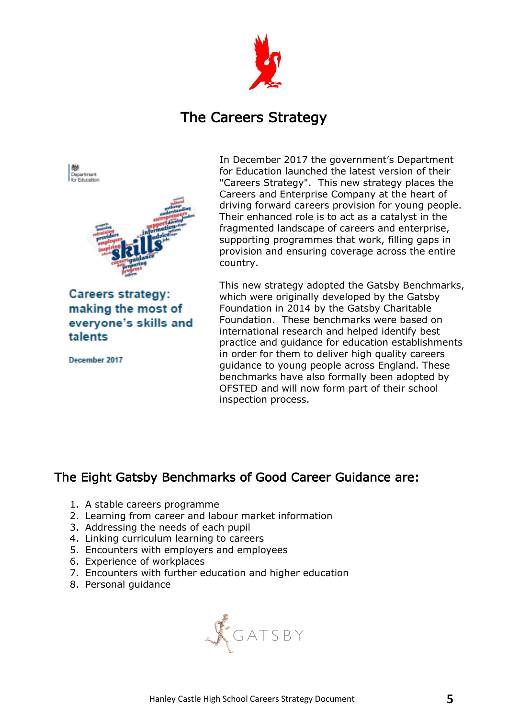

## The Careers Strategy

创き<br>Department Education



**Careers strategy:** making the most of everyone's skills and talents

December 2017

In December 2017 the government's Department for Education launched the latest version of their "Careers Strategy". This new strategy places the Careers and Enterprise Company at the heart of driving forward careers provision for young people. Their enhanced role is to act as a catalyst in the fragmented landscape of careers and enterprise, supporting programmes that work, filling gaps in provision and ensuring coverage across the entire country.

This new strategy adopted the Gatsby Benchmarks, which were originally developed by the Gatsby Foundation in 2014 by the Gatsby Charitable Foundation. These benchmarks were based on international research and helped identify best practice and guidance for education establishments in order for them to deliver high quality careers guidance to young people across England. These benchmarks have also formally been adopted by OFSTED and will now form part of their school inspection process.

## The Eight Gatsby Benchmarks of Good Career Guidance are:

- 1. A stable careers programme
- 2. Learning from career and labour market information
- 3. Addressing the needs of each pupil
- 4. Linking curriculum learning to careers
- 5. Encounters with employers and employees
- 6. Experience of workplaces
- 7. Encounters with further education and higher education
- 8. Personal guidance

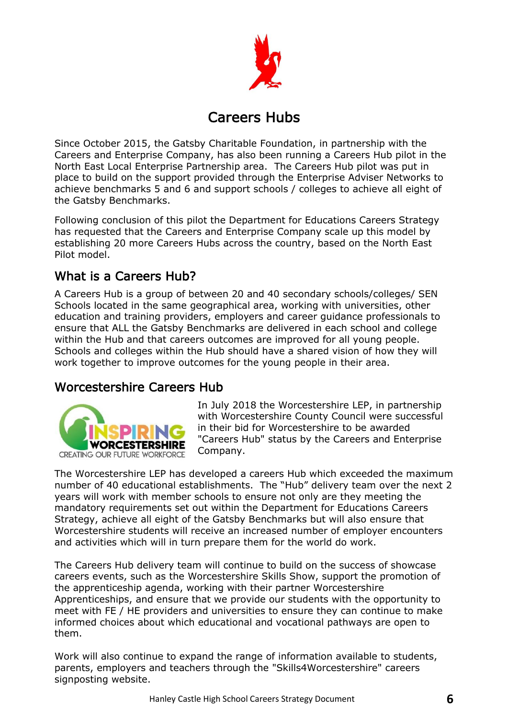

## Careers Hubs

Since October 2015, the Gatsby Charitable Foundation, in partnership with the Careers and Enterprise Company, has also been running a Careers Hub pilot in the North East Local Enterprise Partnership area. The Careers Hub pilot was put in place to build on the support provided through the Enterprise Adviser Networks to achieve benchmarks 5 and 6 and support schools / colleges to achieve all eight of the Gatsby Benchmarks.

Following conclusion of this pilot the Department for Educations Careers Strategy has requested that the Careers and Enterprise Company scale up this model by establishing 20 more Careers Hubs across the country, based on the North East Pilot model.

## What is a Careers Hub?

A Careers Hub is a group of between 20 and 40 secondary schools/colleges/ SEN Schools located in the same geographical area, working with universities, other education and training providers, employers and career guidance professionals to ensure that ALL the Gatsby Benchmarks are delivered in each school and college within the Hub and that careers outcomes are improved for all young people. Schools and colleges within the Hub should have a shared vision of how they will work together to improve outcomes for the young people in their area.

## Worcestershire Careers Hub



In July 2018 the Worcestershire LEP, in partnership with Worcestershire County Council were successful in their bid for Worcestershire to be awarded "Careers Hub" status by the Careers and Enterprise Company.

The Worcestershire LEP has developed a careers Hub which exceeded the maximum number of 40 educational establishments. The "Hub" delivery team over the next 2 years will work with member schools to ensure not only are they meeting the mandatory requirements set out within the Department for Educations Careers Strategy, achieve all eight of the Gatsby Benchmarks but will also ensure that Worcestershire students will receive an increased number of employer encounters and activities which will in turn prepare them for the world do work.

The Careers Hub delivery team will continue to build on the success of showcase careers events, such as the Worcestershire Skills Show, support the promotion of the apprenticeship agenda, working with their partner Worcestershire Apprenticeships, and ensure that we provide our students with the opportunity to meet with FE / HE providers and universities to ensure they can continue to make informed choices about which educational and vocational pathways are open to them.

Work will also continue to expand the range of information available to students, parents, employers and teachers through the "Skills4Worcestershire" careers signposting website.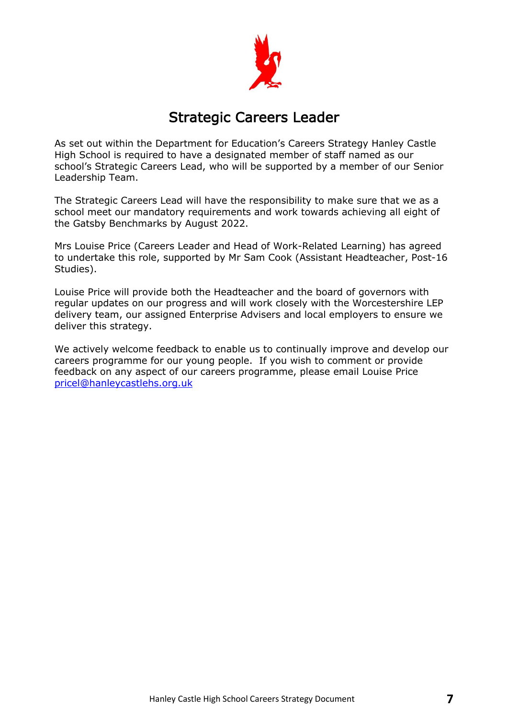

## Strategic Careers Leader

As set out within the Department for Education's Careers Strategy Hanley Castle High School is required to have a designated member of staff named as our school's Strategic Careers Lead, who will be supported by a member of our Senior Leadership Team.

The Strategic Careers Lead will have the responsibility to make sure that we as a school meet our mandatory requirements and work towards achieving all eight of the Gatsby Benchmarks by August 2022.

Mrs Louise Price (Careers Leader and Head of Work-Related Learning) has agreed to undertake this role, supported by Mr Sam Cook (Assistant Headteacher, Post-16 Studies).

Louise Price will provide both the Headteacher and the board of governors with regular updates on our progress and will work closely with the Worcestershire LEP delivery team, our assigned Enterprise Advisers and local employers to ensure we deliver this strategy.

We actively welcome feedback to enable us to continually improve and develop our careers programme for our young people. If you wish to comment or provide feedback on any aspect of our careers programme, please email Louise Price [pricel@hanleycastlehs.org.uk](mailto:pricel@hanleycastlehs.org.uk)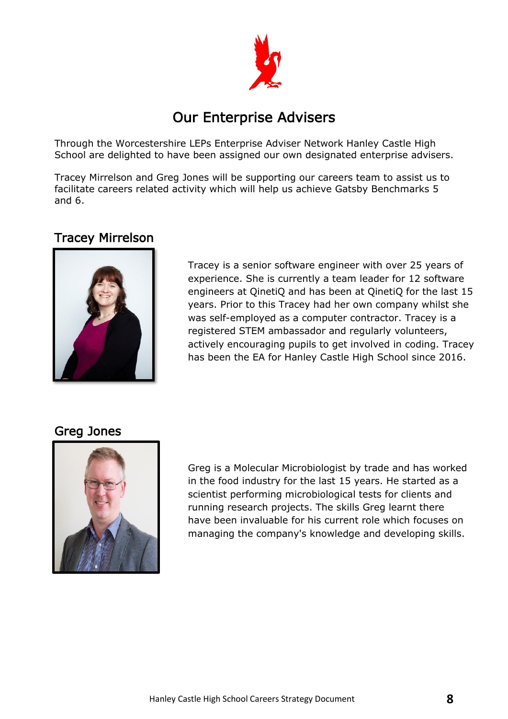

## Our Enterprise Advisers

Through the Worcestershire LEPs Enterprise Adviser Network Hanley Castle High School are delighted to have been assigned our own designated enterprise advisers.

Tracey Mirrelson and Greg Jones will be supporting our careers team to assist us to facilitate careers related activity which will help us achieve Gatsby Benchmarks 5 and 6.

## Tracey Mirrelson



Tracey is a senior software engineer with over 25 years of experience. She is currently a team leader for 12 software engineers at QinetiQ and has been at QinetiQ for the last 15 years. Prior to this Tracey had her own company whilst she was self-employed as a computer contractor. Tracey is a registered STEM ambassador and regularly volunteers, actively encouraging pupils to get involved in coding. Tracey has been the EA for Hanley Castle High School since 2016.

## Greg Jones



Greg is a Molecular Microbiologist by trade and has worked in the food industry for the last 15 years. He started as a scientist performing microbiological tests for clients and running research projects. The skills Greg learnt there have been invaluable for his current role which focuses on managing the company's knowledge and developing skills.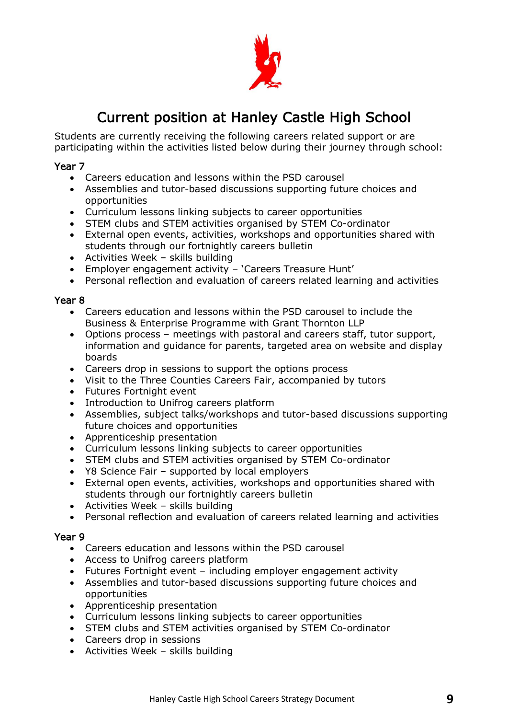

## Current position at Hanley Castle High School

Students are currently receiving the following careers related support or are participating within the activities listed below during their journey through school:

#### Year 7

- Careers education and lessons within the PSD carousel
- Assemblies and tutor-based discussions supporting future choices and opportunities
- Curriculum lessons linking subjects to career opportunities
- STEM clubs and STEM activities organised by STEM Co-ordinator
- External open events, activities, workshops and opportunities shared with students through our fortnightly careers bulletin
- Activities Week skills building
- Employer engagement activity 'Careers Treasure Hunt'
- Personal reflection and evaluation of careers related learning and activities

#### Year 8

- Careers education and lessons within the PSD carousel to include the Business & Enterprise Programme with Grant Thornton LLP
- Options process meetings with pastoral and careers staff, tutor support, information and guidance for parents, targeted area on website and display boards
- Careers drop in sessions to support the options process
- Visit to the Three Counties Careers Fair, accompanied by tutors
- Futures Fortnight event
- Introduction to Unifrog careers platform
- Assemblies, subject talks/workshops and tutor-based discussions supporting future choices and opportunities
- Apprenticeship presentation
- Curriculum lessons linking subjects to career opportunities
- STEM clubs and STEM activities organised by STEM Co-ordinator
- Y8 Science Fair supported by local employers
- External open events, activities, workshops and opportunities shared with students through our fortnightly careers bulletin
- Activities Week skills building
- Personal reflection and evaluation of careers related learning and activities

#### Year 9

- Careers education and lessons within the PSD carousel
- Access to Unifrog careers platform
- Futures Fortnight event including employer engagement activity
- Assemblies and tutor-based discussions supporting future choices and opportunities
- Apprenticeship presentation
- Curriculum lessons linking subjects to career opportunities
- STEM clubs and STEM activities organised by STEM Co-ordinator
- Careers drop in sessions
- Activities Week skills building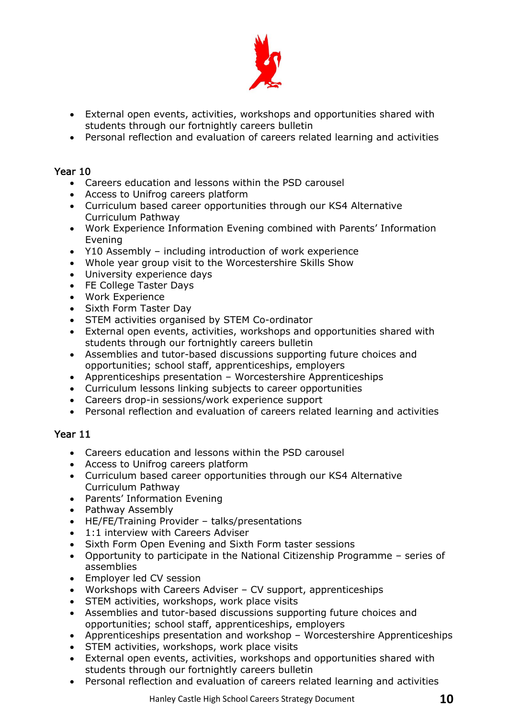

- External open events, activities, workshops and opportunities shared with students through our fortnightly careers bulletin
- Personal reflection and evaluation of careers related learning and activities

#### Year 10

- Careers education and lessons within the PSD carousel
- Access to Unifrog careers platform
- Curriculum based career opportunities through our KS4 Alternative Curriculum Pathway
- Work Experience Information Evening combined with Parents' Information Evening
- Y10 Assembly including introduction of work experience
- Whole year group visit to the Worcestershire Skills Show
- University experience days
- FE College Taster Days
- Work Experience
- Sixth Form Taster Day
- STEM activities organised by STEM Co-ordinator
- External open events, activities, workshops and opportunities shared with students through our fortnightly careers bulletin
- Assemblies and tutor-based discussions supporting future choices and opportunities; school staff, apprenticeships, employers
- Apprenticeships presentation Worcestershire Apprenticeships
- Curriculum lessons linking subjects to career opportunities
- Careers drop-in sessions/work experience support
- Personal reflection and evaluation of careers related learning and activities

#### Year 11

- Careers education and lessons within the PSD carousel
- Access to Unifrog careers platform
- Curriculum based career opportunities through our KS4 Alternative Curriculum Pathway
- Parents' Information Evening
- Pathway Assembly
- HE/FE/Training Provider talks/presentations
- 1:1 interview with Careers Adviser
- Sixth Form Open Evening and Sixth Form taster sessions
- Opportunity to participate in the National Citizenship Programme series of assemblies
- Employer led CV session
- Workshops with Careers Adviser CV support, apprenticeships
- STEM activities, workshops, work place visits
- Assemblies and tutor-based discussions supporting future choices and opportunities; school staff, apprenticeships, employers
- Apprenticeships presentation and workshop Worcestershire Apprenticeships
- STEM activities, workshops, work place visits
- External open events, activities, workshops and opportunities shared with students through our fortnightly careers bulletin
- Personal reflection and evaluation of careers related learning and activities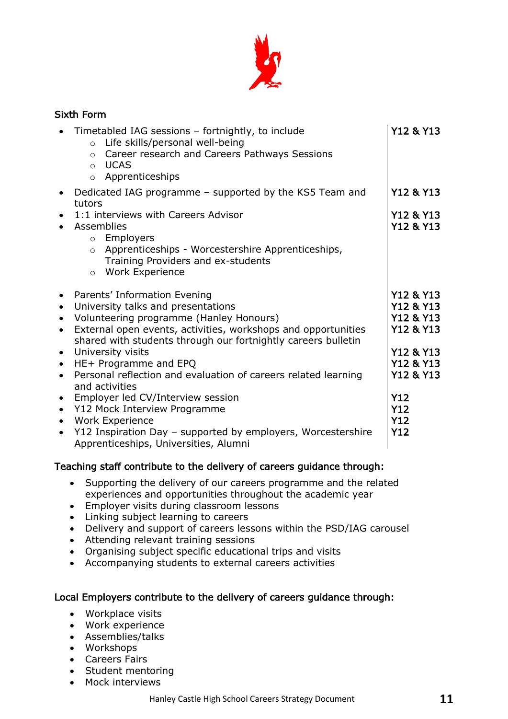

|                                     | <b>Sixth Form</b>                                                                                                                                                                                                                               |                                                      |
|-------------------------------------|-------------------------------------------------------------------------------------------------------------------------------------------------------------------------------------------------------------------------------------------------|------------------------------------------------------|
|                                     | Timetabled IAG sessions - fortnightly, to include<br>Life skills/personal well-being<br>$\circ$<br>Career research and Careers Pathways Sessions<br>$\circ$<br><b>UCAS</b><br>$\circ$<br>Apprenticeships<br>$\circ$                             | Y12 & Y13                                            |
|                                     | Dedicated IAG programme - supported by the KS5 Team and<br>tutors                                                                                                                                                                               | Y12 & Y13                                            |
|                                     | 1:1 interviews with Careers Advisor<br>Assemblies<br>Employers<br>$\circ$<br>Apprenticeships - Worcestershire Apprenticeships,<br>$\circ$<br>Training Providers and ex-students<br><b>Work Experience</b><br>$\circ$                            | Y12 & Y13<br>Y12 & Y13                               |
| $\bullet$<br>$\bullet$<br>$\bullet$ | Parents' Information Evening<br>University talks and presentations<br>Volunteering programme (Hanley Honours)<br>External open events, activities, workshops and opportunities<br>shared with students through our fortnightly careers bulletin | Y12 & Y13<br>Y12 & Y13<br>Y12 & Y13<br>Y12 & Y13     |
| $\bullet$                           | University visits<br>HE+ Programme and EPQ<br>Personal reflection and evaluation of careers related learning<br>and activities                                                                                                                  | Y12 & Y13<br>Y12 & Y13<br>Y12 & Y13                  |
| $\bullet$<br>$\bullet$              | Employer led CV/Interview session<br>Y12 Mock Interview Programme<br><b>Work Experience</b><br>Y12 Inspiration Day - supported by employers, Worcestershire<br>Apprenticeships, Universities, Alumni                                            | <b>Y12</b><br><b>Y12</b><br><b>Y12</b><br><b>Y12</b> |

#### Teaching staff contribute to the delivery of careers guidance through:

- Supporting the delivery of our careers programme and the related experiences and opportunities throughout the academic year
- Employer visits during classroom lessons
- Linking subject learning to careers
- Delivery and support of careers lessons within the PSD/IAG carousel
- Attending relevant training sessions
- Organising subject specific educational trips and visits
- Accompanying students to external careers activities

#### Local Employers contribute to the delivery of careers guidance through:

- Workplace visits
- Work experience
- Assemblies/talks
- Workshops
- Careers Fairs
- Student mentoring
- Mock interviews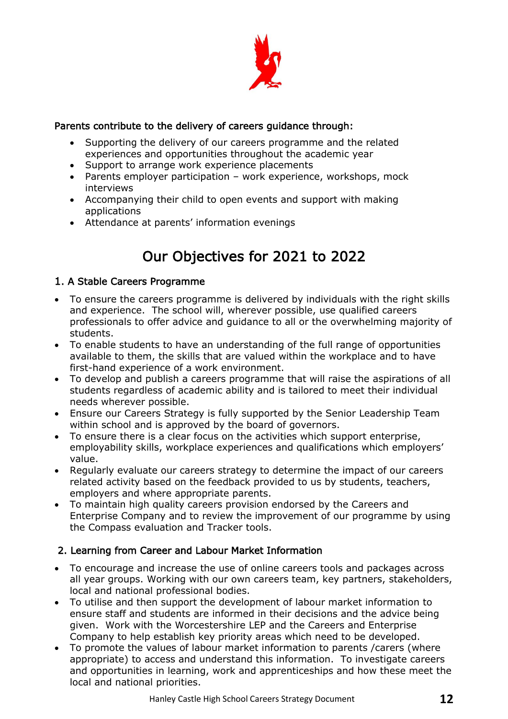

#### Parents contribute to the delivery of careers guidance through:

- Supporting the delivery of our careers programme and the related experiences and opportunities throughout the academic year
- Support to arrange work experience placements
- Parents employer participation work experience, workshops, mock interviews
- Accompanying their child to open events and support with making applications
- Attendance at parents' information evenings

## Our Objectives for 2021 to 2022

#### 1. A Stable Careers Programme

- To ensure the careers programme is delivered by individuals with the right skills and experience. The school will, wherever possible, use qualified careers professionals to offer advice and guidance to all or the overwhelming majority of students.
- To enable students to have an understanding of the full range of opportunities available to them, the skills that are valued within the workplace and to have first-hand experience of a work environment.
- To develop and publish a careers programme that will raise the aspirations of all students regardless of academic ability and is tailored to meet their individual needs wherever possible.
- Ensure our Careers Strategy is fully supported by the Senior Leadership Team within school and is approved by the board of governors.
- To ensure there is a clear focus on the activities which support enterprise, employability skills, workplace experiences and qualifications which employers' value.
- Regularly evaluate our careers strategy to determine the impact of our careers related activity based on the feedback provided to us by students, teachers, employers and where appropriate parents.
- To maintain high quality careers provision endorsed by the Careers and Enterprise Company and to review the improvement of our programme by using the Compass evaluation and Tracker tools.

#### 2. Learning from Career and Labour Market Information

- To encourage and increase the use of online careers tools and packages across all year groups. Working with our own careers team, key partners, stakeholders, local and national professional bodies.
- To utilise and then support the development of labour market information to ensure staff and students are informed in their decisions and the advice being given. Work with the Worcestershire LEP and the Careers and Enterprise Company to help establish key priority areas which need to be developed.
- To promote the values of labour market information to parents /carers (where appropriate) to access and understand this information. To investigate careers and opportunities in learning, work and apprenticeships and how these meet the local and national priorities.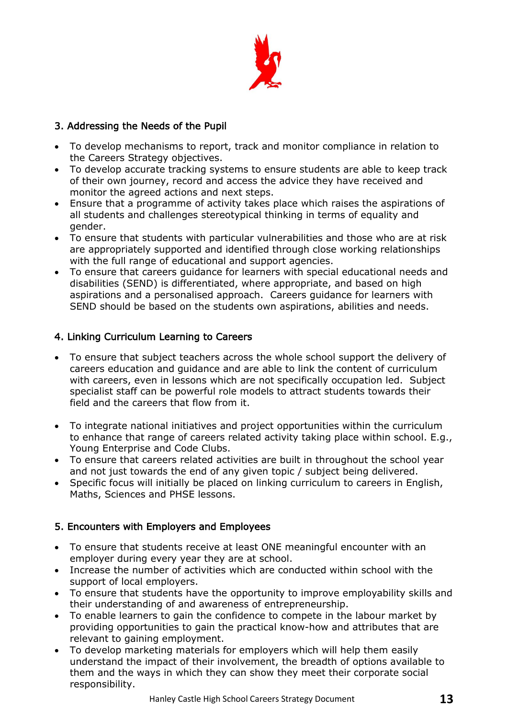

#### 3. Addressing the Needs of the Pupil

- To develop mechanisms to report, track and monitor compliance in relation to the Careers Strategy objectives.
- To develop accurate tracking systems to ensure students are able to keep track of their own journey, record and access the advice they have received and monitor the agreed actions and next steps.
- Ensure that a programme of activity takes place which raises the aspirations of all students and challenges stereotypical thinking in terms of equality and gender.
- To ensure that students with particular vulnerabilities and those who are at risk are appropriately supported and identified through close working relationships with the full range of educational and support agencies.
- To ensure that careers guidance for learners with special educational needs and disabilities (SEND) is differentiated, where appropriate, and based on high aspirations and a personalised approach. Careers guidance for learners with SEND should be based on the students own aspirations, abilities and needs.

#### 4. Linking Curriculum Learning to Careers

- To ensure that subject teachers across the whole school support the delivery of careers education and guidance and are able to link the content of curriculum with careers, even in lessons which are not specifically occupation led. Subject specialist staff can be powerful role models to attract students towards their field and the careers that flow from it.
- To integrate national initiatives and project opportunities within the curriculum to enhance that range of careers related activity taking place within school. E.g., Young Enterprise and Code Clubs.
- To ensure that careers related activities are built in throughout the school year and not just towards the end of any given topic / subject being delivered.
- Specific focus will initially be placed on linking curriculum to careers in English, Maths, Sciences and PHSE lessons.

#### 5. Encounters with Employers and Employees

- To ensure that students receive at least ONE meaningful encounter with an employer during every year they are at school.
- Increase the number of activities which are conducted within school with the support of local employers.
- To ensure that students have the opportunity to improve employability skills and their understanding of and awareness of entrepreneurship.
- To enable learners to gain the confidence to compete in the labour market by providing opportunities to gain the practical know-how and attributes that are relevant to gaining employment.
- To develop marketing materials for employers which will help them easily understand the impact of their involvement, the breadth of options available to them and the ways in which they can show they meet their corporate social responsibility.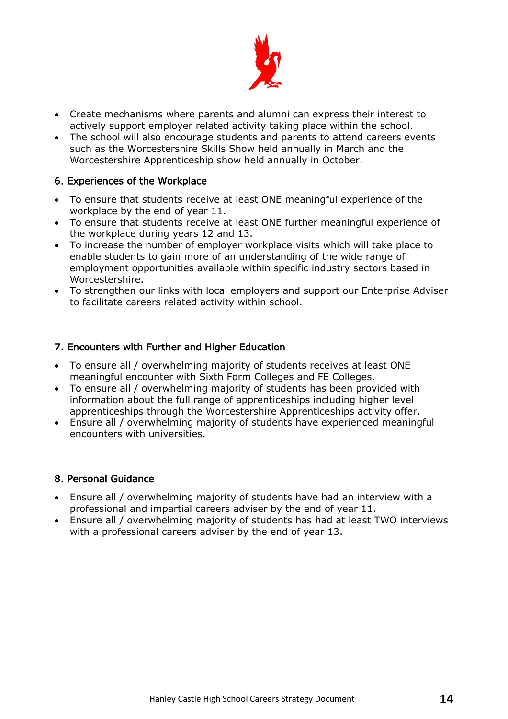

- Create mechanisms where parents and alumni can express their interest to actively support employer related activity taking place within the school.
- The school will also encourage students and parents to attend careers events such as the Worcestershire Skills Show held annually in March and the Worcestershire Apprenticeship show held annually in October.

#### 6. Experiences of the Workplace

- To ensure that students receive at least ONE meaningful experience of the workplace by the end of year 11.
- To ensure that students receive at least ONE further meaningful experience of the workplace during years 12 and 13.
- To increase the number of employer workplace visits which will take place to enable students to gain more of an understanding of the wide range of employment opportunities available within specific industry sectors based in Worcestershire.
- To strengthen our links with local employers and support our Enterprise Adviser to facilitate careers related activity within school.

#### 7. Encounters with Further and Higher Education

- To ensure all / overwhelming majority of students receives at least ONE meaningful encounter with Sixth Form Colleges and FE Colleges.
- To ensure all / overwhelming majority of students has been provided with information about the full range of apprenticeships including higher level apprenticeships through the Worcestershire Apprenticeships activity offer.
- Ensure all / overwhelming majority of students have experienced meaningful encounters with universities.

#### 8. Personal Guidance

- Ensure all / overwhelming majority of students have had an interview with a professional and impartial careers adviser by the end of year 11.
- Ensure all / overwhelming majority of students has had at least TWO interviews with a professional careers adviser by the end of year 13.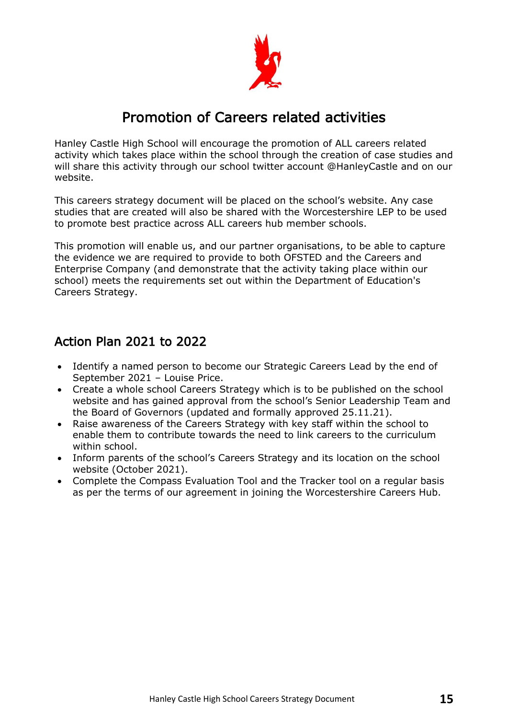

## Promotion of Careers related activities

Hanley Castle High School will encourage the promotion of ALL careers related activity which takes place within the school through the creation of case studies and will share this activity through our school twitter account @HanleyCastle and on our website.

This careers strategy document will be placed on the school's website. Any case studies that are created will also be shared with the Worcestershire LEP to be used to promote best practice across ALL careers hub member schools.

This promotion will enable us, and our partner organisations, to be able to capture the evidence we are required to provide to both OFSTED and the Careers and Enterprise Company (and demonstrate that the activity taking place within our school) meets the requirements set out within the Department of Education's Careers Strategy.

## Action Plan 2021 to 2022

- Identify a named person to become our Strategic Careers Lead by the end of September 2021 – Louise Price.
- Create a whole school Careers Strategy which is to be published on the school website and has gained approval from the school's Senior Leadership Team and the Board of Governors (updated and formally approved 25.11.21).
- Raise awareness of the Careers Strategy with key staff within the school to enable them to contribute towards the need to link careers to the curriculum within school.
- Inform parents of the school's Careers Strategy and its location on the school website (October 2021).
- Complete the Compass Evaluation Tool and the Tracker tool on a regular basis as per the terms of our agreement in joining the Worcestershire Careers Hub.